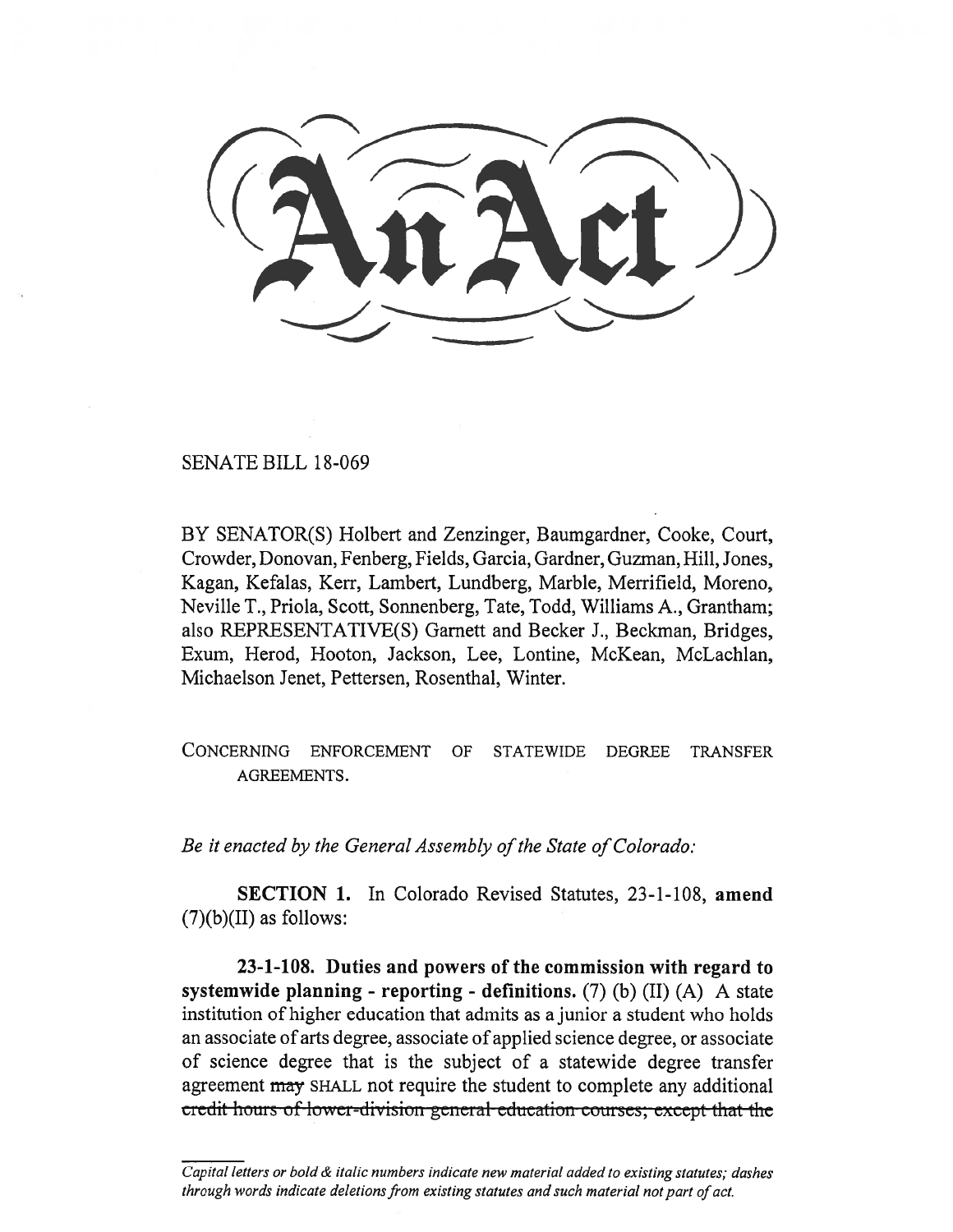SENATE BILL 18-069

BY SENATOR(S) Holbert and Zenzinger, Baumgardner, Cooke, Court, Crowder, Donovan, Fenberg, Fields, Garcia, Gardner, Guzman, Hill, Jones, Kagan, Kefalas, Kerr, Lambert, Lundberg, Marble, Merrifield, Moreno, Neville T., Priola, Scott, Sonnenberg, Tate, Todd, Williams A., Grantham; also REPRESENTATIVE(S) Garnett and Becker J., Beckman, Bridges, Exum, Herod, Hooton, Jackson, Lee, Lontine, McKean, McLachlan, Michaelson Jenet, Pettersen, Rosenthal, Winter.

CONCERNING ENFORCEMENT OF STATEWIDE DEGREE TRANSFER AGREEMENTS.

*Be it enacted by the General Assembly of the State of Colorado:* 

**SECTION** 1. In Colorado Revised Statutes, 23-1-108, **amend**   $(7)(b)(II)$  as follows:

**23-1-108. Duties and powers of the commission with regard to systemwide planning - reporting - definitions.** (7) (b) (II) (A) A state institution of higher education that admits as a junior a student who holds an associate of arts degree, associate of applied science degree, or associate of science degree that is the subject of a statewide degree transfer agreement may SHALL not require the student to complete any additional eredit hours of lower-division general education courses; except that the

*Capital letters or bold & italic numbers indicate new material added to existing statutes; dashes through words indicate deletions from existing statutes and such material not part of act.*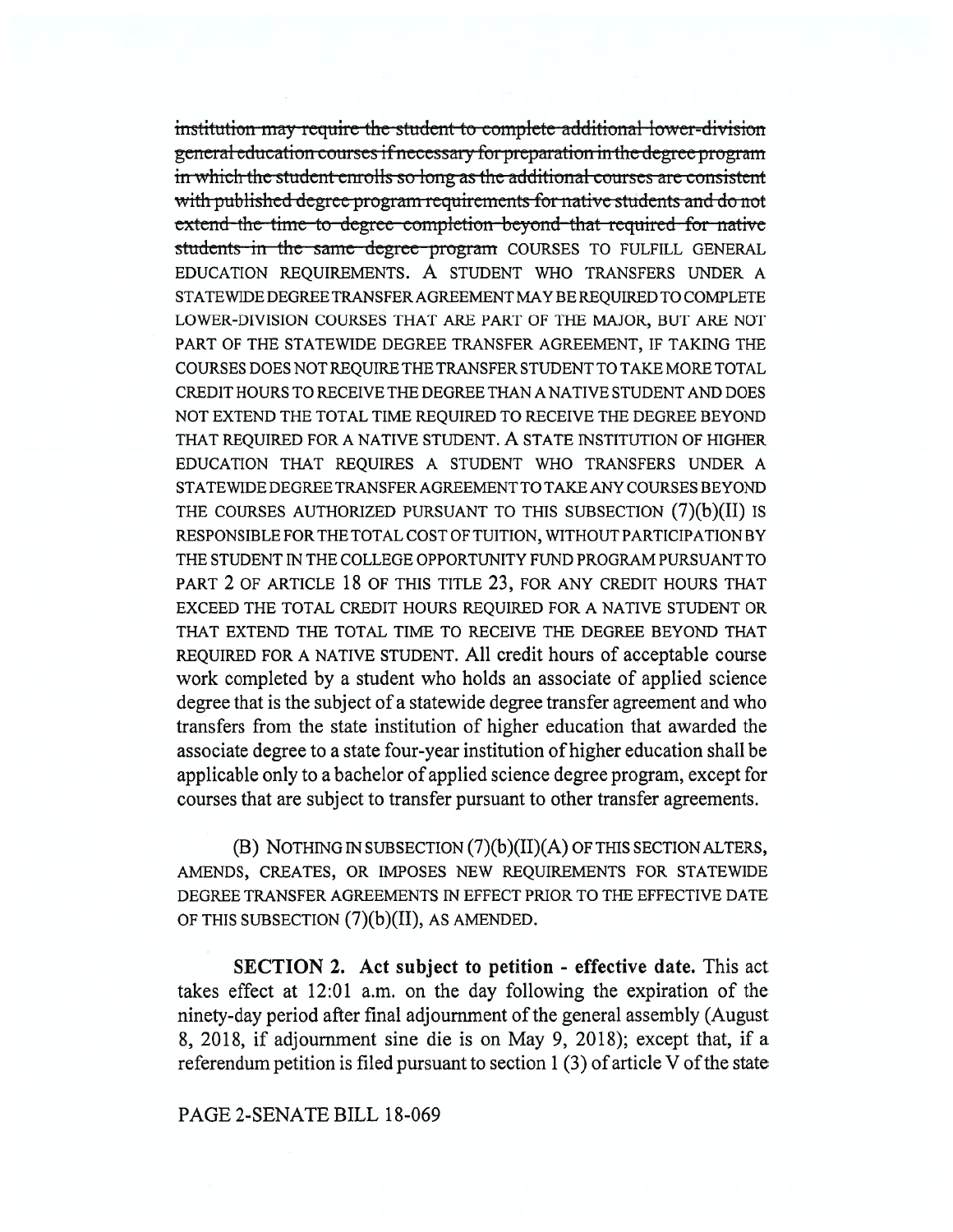institution may require the student to complete additional lower-division general education courses if necessary for preparation in the degree program in which the student enrolls so long as the additional courses are consistent with published degree program requirements for native students and do not extend the time to degree completion beyond that required for native students in the same degree program COURSES TO FULFILL GENERAL EDUCATION REQUIREMENTS. A STUDENT WHO TRANSFERS UNDER A STATEWIDE DEGREE TRANSFER AGREEMENT MAY BE REQUIRED TO COMPLETE LOWER-DIVISION COURSES THAT ARE PART OF THE MAJOR, BUT ARE NOT PART OF THE STATEWIDE DEGREE TRANSFER AGREEMENT, IF TAKING THE COURSES DOES NOT REQUIRE THE TRANSFER STUDENT TO TAKE MORE TOTAL CREDIT HOURS TO RECEIVE THE DEGREE THAN A NATIVE STUDENT AND DOES NOT EXTEND THE TOTAL TIME REQUIRED TO RECEIVE THE DEGREE BEYOND THAT REQUIRED FOR A NATIVE STUDENT. A STATE INSTITUTION OF HIGHER EDUCATION THAT REQUIRES A STUDENT WHO TRANSFERS UNDER A STATEWIDE DEGREE TRANSFER AGREEMENT TO TAKE ANY COURSES BEYOND THE COURSES AUTHORIZED PURSUANT TO THIS SUBSECTION  $(7)(b)(II)$  is RESPONSIBLE FOR THE TOTAL COST OF TUITION, WITHOUT PARTICIPATION BY THE STUDENT IN THE COLLEGE OPPORTUNITY FUND PROGRAM PURSUANT TO PART 2 OF ARTICLE 18 OF THIS TITLE 23, FOR ANY CREDIT HOURS THAT EXCEED THE TOTAL CREDIT HOURS REQUIRED FOR A NATIVE STUDENT OR THAT EXTEND THE TOTAL TIME TO RECEIVE THE DEGREE BEYOND THAT REQUIRED FOR A NATIVE STUDENT. All credit hours of acceptable course work completed by a student who holds an associate of applied science degree that is the subject of a statewide degree transfer agreement and who transfers from the state institution of higher education that awarded the associate degree to a state four-year institution of higher education shall be applicable only to a bachelor of applied science degree program, except for courses that are subject to transfer pursuant to other transfer agreements.

(B) NOTHING IN SUBSECTION  $(7)(b)(II)(A)$  OF THIS SECTION ALTERS, AMENDS, CREATES, OR IMPOSES NEW REQUIREMENTS FOR STATEWIDE DEGREE TRANSFER AGREEMENTS IN EFFECT PRIOR TO THE EFFECTIVE DATE OF THIS SUBSECTION  $(7)(b)(II)$ , AS AMENDED.

**SECTION 2.** Act subject to petition - effective date. This act takes effect at 12:01 a.m. on the day following the expiration of the ninety-day period after final adjournment of the general assembly (August 8, 2018, if adjournment sine die is on May 9, 2018); except that, if a referendum petition is filed pursuant to section 1 (3) of article V of the state

## PAGE 2-SENATE BILL 18-069